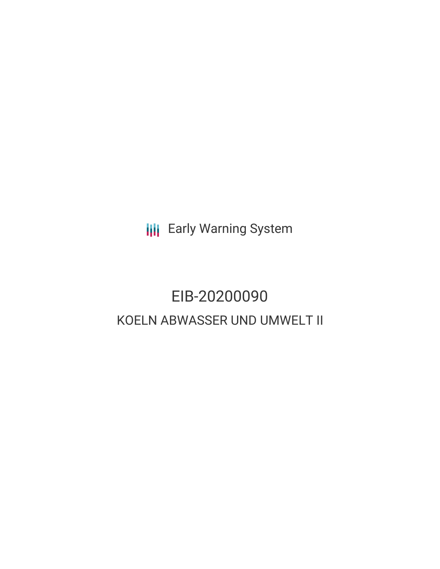**III** Early Warning System

# EIB-20200090 KOELN ABWASSER UND UMWELT II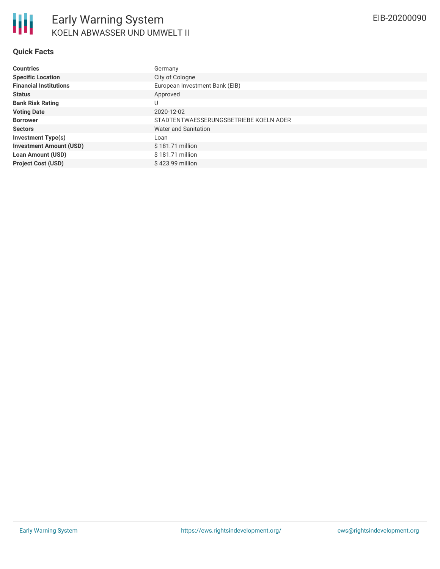### **Quick Facts**

| <b>Countries</b>               | Germany                                |
|--------------------------------|----------------------------------------|
| <b>Specific Location</b>       | City of Cologne                        |
| <b>Financial Institutions</b>  | European Investment Bank (EIB)         |
| <b>Status</b>                  | Approved                               |
| <b>Bank Risk Rating</b>        | U                                      |
| <b>Voting Date</b>             | 2020-12-02                             |
| <b>Borrower</b>                | STADTENTWAESSERUNGSBETRIEBE KOELN AOER |
| <b>Sectors</b>                 | Water and Sanitation                   |
| <b>Investment Type(s)</b>      | Loan                                   |
| <b>Investment Amount (USD)</b> | \$181.71 million                       |
| <b>Loan Amount (USD)</b>       | \$181.71 million                       |
| <b>Project Cost (USD)</b>      | \$423.99 million                       |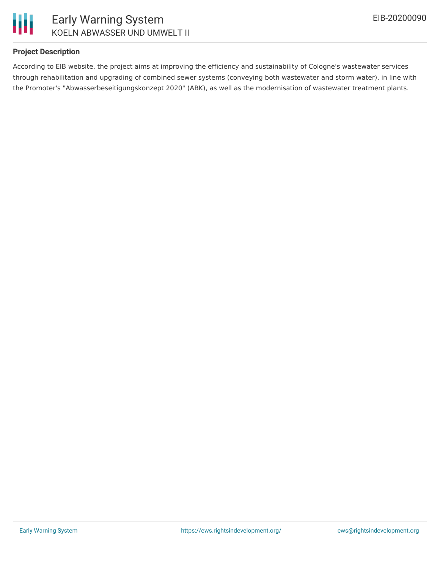



### **Project Description**

According to EIB website, the project aims at improving the efficiency and sustainability of Cologne's wastewater services through rehabilitation and upgrading of combined sewer systems (conveying both wastewater and storm water), in line with the Promoter's "Abwasserbeseitigungskonzept 2020" (ABK), as well as the modernisation of wastewater treatment plants.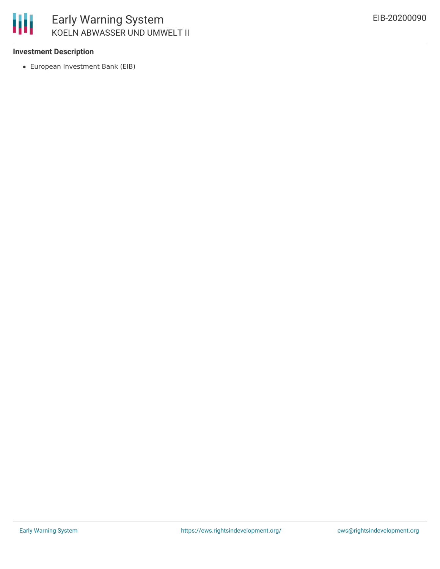

### **Investment Description**

European Investment Bank (EIB)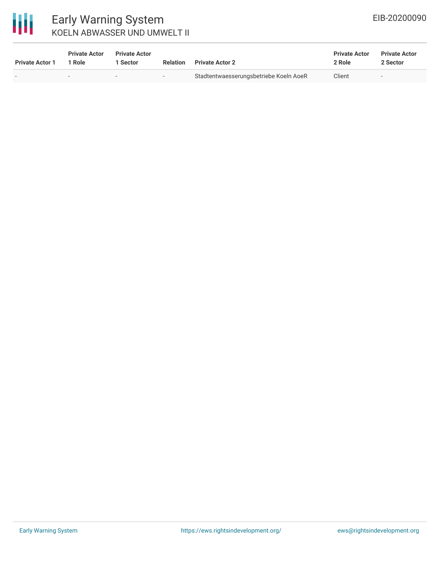

## Early Warning System KOELN ABWASSER UND UMWELT II

| <b>Private Actor 1</b> | <b>Private Actor</b><br>Role | <b>Private Actor</b><br>Sector | <b>Relation</b> | <b>Private Actor 2</b>                 | <b>Private Actor</b><br>2 Role | <b>Private Actor</b><br>2 Sector |
|------------------------|------------------------------|--------------------------------|-----------------|----------------------------------------|--------------------------------|----------------------------------|
|                        | $\overline{\phantom{a}}$     | $\overline{\phantom{a}}$       | $-$             | Stadtentwaesserungsbetriebe Koeln AoeR | Client                         | $-$                              |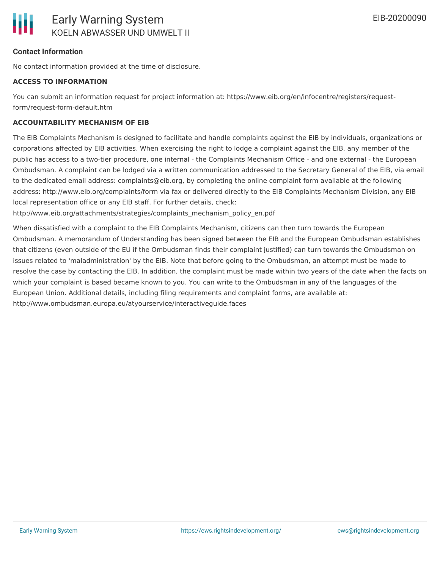### **Contact Information**

No contact information provided at the time of disclosure.

#### **ACCESS TO INFORMATION**

You can submit an information request for project information at: https://www.eib.org/en/infocentre/registers/requestform/request-form-default.htm

### **ACCOUNTABILITY MECHANISM OF EIB**

The EIB Complaints Mechanism is designed to facilitate and handle complaints against the EIB by individuals, organizations or corporations affected by EIB activities. When exercising the right to lodge a complaint against the EIB, any member of the public has access to a two-tier procedure, one internal - the Complaints Mechanism Office - and one external - the European Ombudsman. A complaint can be lodged via a written communication addressed to the Secretary General of the EIB, via email to the dedicated email address: complaints@eib.org, by completing the online complaint form available at the following address: http://www.eib.org/complaints/form via fax or delivered directly to the EIB Complaints Mechanism Division, any EIB local representation office or any EIB staff. For further details, check:

http://www.eib.org/attachments/strategies/complaints\_mechanism\_policy\_en.pdf

When dissatisfied with a complaint to the EIB Complaints Mechanism, citizens can then turn towards the European Ombudsman. A memorandum of Understanding has been signed between the EIB and the European Ombudsman establishes that citizens (even outside of the EU if the Ombudsman finds their complaint justified) can turn towards the Ombudsman on issues related to 'maladministration' by the EIB. Note that before going to the Ombudsman, an attempt must be made to resolve the case by contacting the EIB. In addition, the complaint must be made within two years of the date when the facts on which your complaint is based became known to you. You can write to the Ombudsman in any of the languages of the European Union. Additional details, including filing requirements and complaint forms, are available at: http://www.ombudsman.europa.eu/atyourservice/interactiveguide.faces